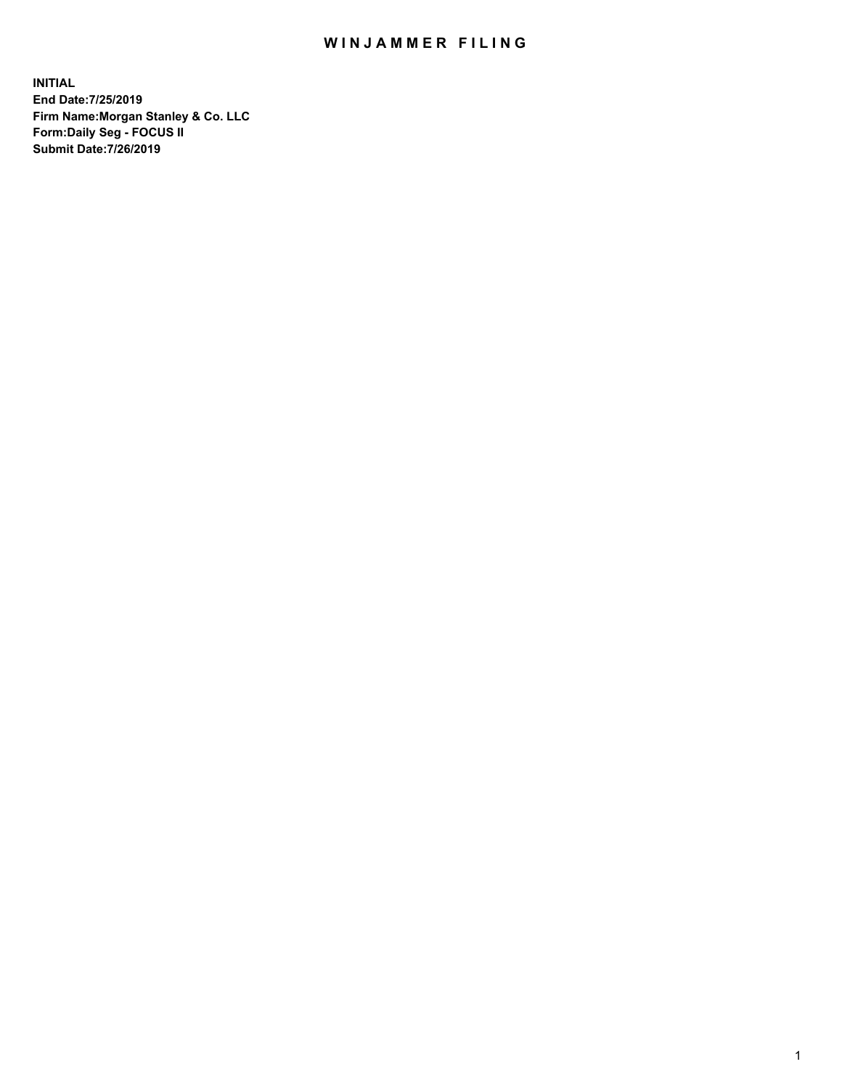## WIN JAMMER FILING

**INITIAL End Date:7/25/2019 Firm Name:Morgan Stanley & Co. LLC Form:Daily Seg - FOCUS II Submit Date:7/26/2019**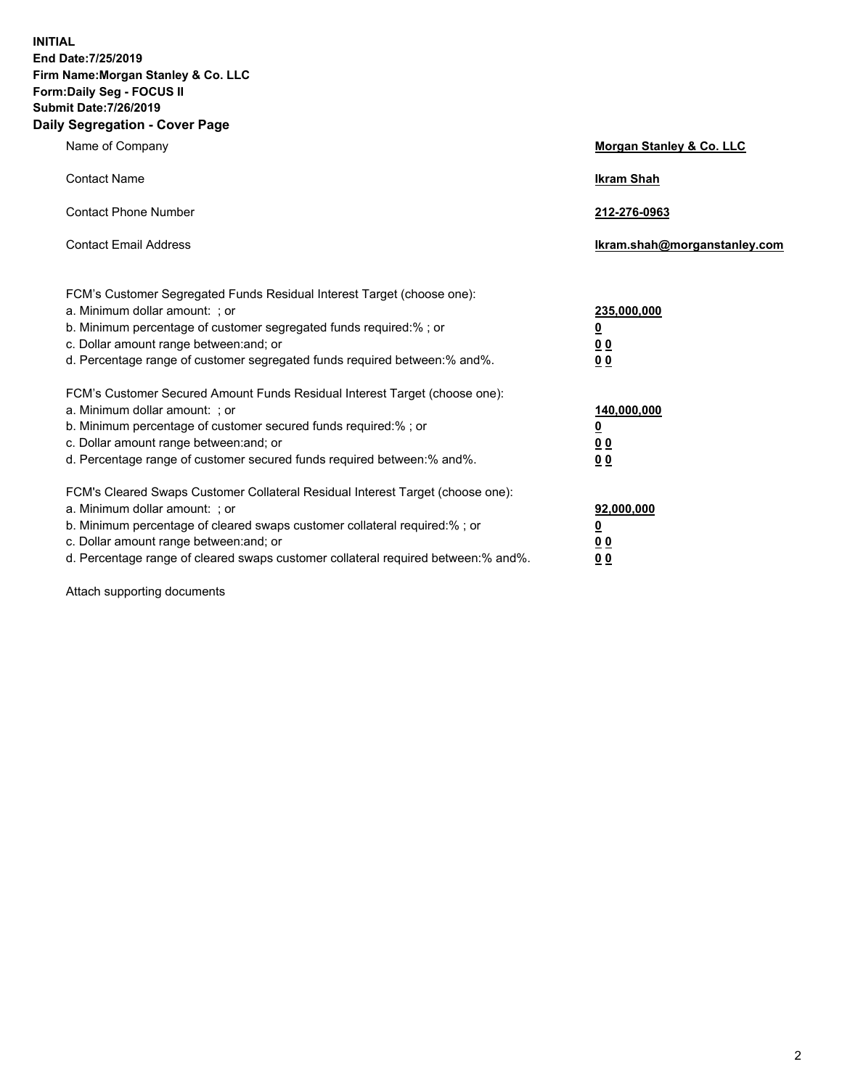**INITIAL End Date:7/25/2019 Firm Name:Morgan Stanley & Co. LLC Form:Daily Seg - FOCUS II Submit Date:7/26/2019 Daily Segregation - Cover Page**

| Name of Company                                                                                                                                                                                                                                                                                                                | Morgan Stanley & Co. LLC                                    |
|--------------------------------------------------------------------------------------------------------------------------------------------------------------------------------------------------------------------------------------------------------------------------------------------------------------------------------|-------------------------------------------------------------|
| <b>Contact Name</b>                                                                                                                                                                                                                                                                                                            | <b>Ikram Shah</b>                                           |
| <b>Contact Phone Number</b>                                                                                                                                                                                                                                                                                                    | 212-276-0963                                                |
| <b>Contact Email Address</b>                                                                                                                                                                                                                                                                                                   | Ikram.shah@morganstanley.com                                |
| FCM's Customer Segregated Funds Residual Interest Target (choose one):<br>a. Minimum dollar amount: ; or<br>b. Minimum percentage of customer segregated funds required:% ; or<br>c. Dollar amount range between: and; or<br>d. Percentage range of customer segregated funds required between:% and%.                         | 235,000,000<br><u>0</u><br>0 <sub>0</sub><br>0 <sub>0</sub> |
| FCM's Customer Secured Amount Funds Residual Interest Target (choose one):<br>a. Minimum dollar amount: ; or<br>b. Minimum percentage of customer secured funds required:%; or<br>c. Dollar amount range between: and; or<br>d. Percentage range of customer secured funds required between:% and%.                            | 140,000,000<br><u>0</u><br><u>00</u><br>0 <sub>0</sub>      |
| FCM's Cleared Swaps Customer Collateral Residual Interest Target (choose one):<br>a. Minimum dollar amount: ; or<br>b. Minimum percentage of cleared swaps customer collateral required:% ; or<br>c. Dollar amount range between: and; or<br>d. Percentage range of cleared swaps customer collateral required between:% and%. | 92,000,000<br><u>0</u><br><u>00</u><br>0 <sub>0</sub>       |

Attach supporting documents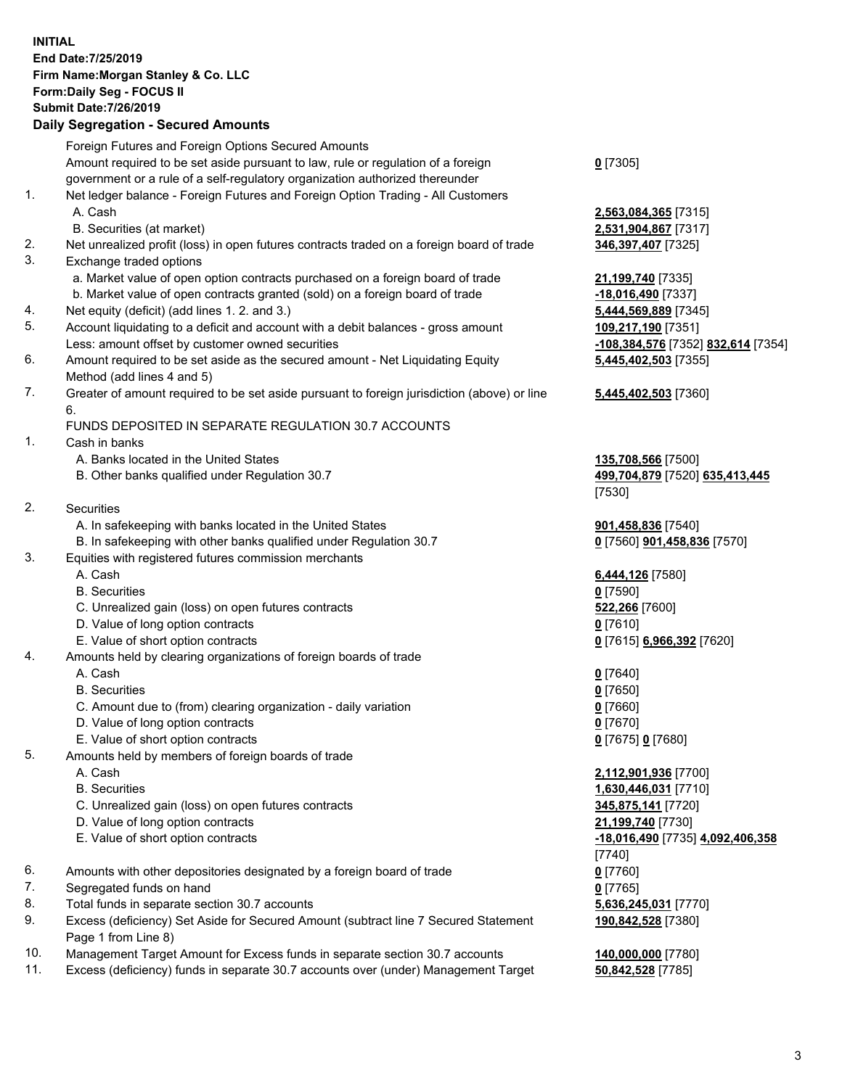## **INITIAL End Date:7/25/2019 Firm Name:Morgan Stanley & Co. LLC Form:Daily Seg - FOCUS II Submit Date:7/26/2019**

## **Daily Segregation - Secured Amounts**

|          | Foreign Futures and Foreign Options Secured Amounts                                                       |                                         |
|----------|-----------------------------------------------------------------------------------------------------------|-----------------------------------------|
|          | Amount required to be set aside pursuant to law, rule or regulation of a foreign                          | $0$ [7305]                              |
|          | government or a rule of a self-regulatory organization authorized thereunder                              |                                         |
| 1.       | Net ledger balance - Foreign Futures and Foreign Option Trading - All Customers                           |                                         |
|          | A. Cash                                                                                                   | 2,563,084,365 [7315]                    |
|          | B. Securities (at market)                                                                                 | 2,531,904,867 [7317]                    |
| 2.<br>3. | Net unrealized profit (loss) in open futures contracts traded on a foreign board of trade                 | 346,397,407 [7325]                      |
|          | Exchange traded options<br>a. Market value of open option contracts purchased on a foreign board of trade |                                         |
|          | b. Market value of open contracts granted (sold) on a foreign board of trade                              | 21,199,740 [7335]<br>-18,016,490 [7337] |
| 4.       | Net equity (deficit) (add lines 1.2. and 3.)                                                              | 5,444,569,889 [7345]                    |
| 5.       | Account liquidating to a deficit and account with a debit balances - gross amount                         | 109,217,190 [7351]                      |
|          | Less: amount offset by customer owned securities                                                          | <u>-108,384,576</u> [7352] <u>8</u>     |
| 6.       | Amount required to be set aside as the secured amount - Net Liquidating Equity                            | 5,445,402,503 [7355]                    |
|          | Method (add lines 4 and 5)                                                                                |                                         |
| 7.       | Greater of amount required to be set aside pursuant to foreign jurisdiction (above) or line               | 5,445,402,503 [7360]                    |
|          | 6.                                                                                                        |                                         |
|          | FUNDS DEPOSITED IN SEPARATE REGULATION 30.7 ACCOUNTS                                                      |                                         |
| 1.       | Cash in banks                                                                                             |                                         |
|          | A. Banks located in the United States                                                                     | 135,708,566 [7500]                      |
|          | B. Other banks qualified under Regulation 30.7                                                            | 499,704,879 [7520] 6                    |
|          |                                                                                                           | [7530]                                  |
| 2.       | Securities                                                                                                |                                         |
|          | A. In safekeeping with banks located in the United States                                                 | <b>901,458,836</b> [7540]               |
|          | B. In safekeeping with other banks qualified under Regulation 30.7                                        | 0 [7560] 901,458,836                    |
| 3.       | Equities with registered futures commission merchants                                                     |                                         |
|          | A. Cash                                                                                                   | 6,444,126 [7580]                        |
|          | <b>B.</b> Securities                                                                                      | $0$ [7590]                              |
|          | C. Unrealized gain (loss) on open futures contracts                                                       | 522,266 [7600]                          |
|          | D. Value of long option contracts                                                                         | $0$ [7610]                              |
|          | E. Value of short option contracts                                                                        | 0 [7615] 6,966,392 [7                   |
| 4.       | Amounts held by clearing organizations of foreign boards of trade                                         |                                         |
|          | A. Cash                                                                                                   | $0$ [7640]                              |
|          | <b>B.</b> Securities                                                                                      | $0$ [7650]                              |
|          | C. Amount due to (from) clearing organization - daily variation                                           | $0$ [7660]                              |
|          | D. Value of long option contracts                                                                         | $0$ [7670]                              |
| 5.       | E. Value of short option contracts<br>Amounts held by members of foreign boards of trade                  | 0 [7675] 0 [7680]                       |
|          | A. Cash                                                                                                   | 2,112,901,936 [7700]                    |
|          | <b>B.</b> Securities                                                                                      | 1,630,446,031 [7710]                    |
|          | C. Unrealized gain (loss) on open futures contracts                                                       | 345,875,141 [7720]                      |
|          | D. Value of long option contracts                                                                         | 21,199,740 [7730]                       |
|          | E. Value of short option contracts                                                                        | -18,016,490 [7735] 4,                   |
|          |                                                                                                           | [7740]                                  |
| 6.       | Amounts with other depositories designated by a foreign board of trade                                    | $0$ [7760]                              |
| 7.       | Segregated funds on hand                                                                                  | $0$ [7765]                              |
| 8.       | Total funds in separate section 30.7 accounts                                                             | 5,636,245,031 [7770]                    |
| 9.       | Excess (deficiency) Set Aside for Secured Amount (subtract line 7 Secured Statement                       | 190,842,528 [7380]                      |
|          | Page 1 from Line 8)                                                                                       |                                         |
|          |                                                                                                           |                                         |

- 10. Management Target Amount for Excess funds in separate section 30.7 accounts **140,000,000** [7780]
- 11. Excess (deficiency) funds in separate 30.7 accounts over (under) Management Target **50,842,528** [7785]

 A. Cash **2,563,084,365** [7315]  $904,867$  [7317] 27,407 [7325] a. 740 [7335] **b. 490** [7337] 569,889 [7345] 5. Account 17, **190** [7351] Less: amount offset by customer owned securities **-108,384,576** [7352] **832,614** [7354]

**08,566** [7500] B. Other banks qualified under Regulation 30.7 **499,704,879** [7520] **635,413,445**

 $58,836$  [7540]  $B(0]$  **901,458,836** [7570]

**E. 866,392** [7620]

 A. Cash **2,112,901,936** [7700] B. Securities **1,630,446,031** [7710] **0. 141** [7720] **0. 740** [7730] E. Value of short option contracts **-18,016,490** [7735] **4,092,406,358** 8. 245,031 [7770] **190,842,528** [7380]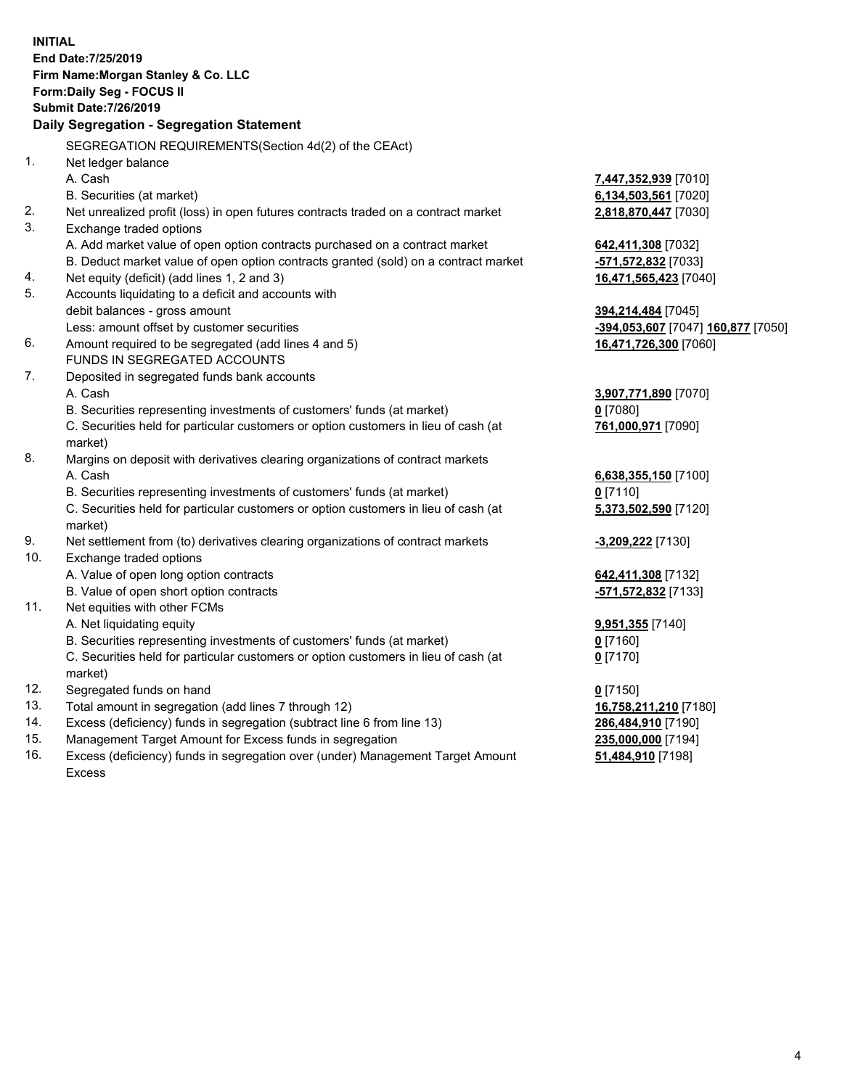**INITIAL End Date:7/25/2019 Firm Name:Morgan Stanley & Co. LLC Form:Daily Seg - FOCUS II Submit Date:7/26/2019 Daily Segregation - Segregation Statement** SEGREGATION REQUIREMENTS(Section 4d(2) of the CEAct) 1. Net ledger balance A. Cash **7,447,352,939** [7010] B. Securities (at market) **6,134,503,561** [7020] 2. Net unrealized profit (loss) in open futures contracts traded on a contract market **2,818,870,447** [7030] 3. Exchange traded options A. Add market value of open option contracts purchased on a contract market **642,411,308** [7032] B. Deduct market value of open option contracts granted (sold) on a contract market **-571,572,832** [7033] 4. Net equity (deficit) (add lines 1, 2 and 3) **16,471,565,423** [7040] 5. Accounts liquidating to a deficit and accounts with debit balances - gross amount **394,214,484** [7045] Less: amount offset by customer securities **-394,053,607** [7047] **160,877** [7050] 6. Amount required to be segregated (add lines 4 and 5) **16,471,726,300** [7060] FUNDS IN SEGREGATED ACCOUNTS 7. Deposited in segregated funds bank accounts A. Cash **3,907,771,890** [7070] B. Securities representing investments of customers' funds (at market) **0** [7080] C. Securities held for particular customers or option customers in lieu of cash (at market) **761,000,971** [7090] 8. Margins on deposit with derivatives clearing organizations of contract markets A. Cash **6,638,355,150** [7100] B. Securities representing investments of customers' funds (at market) **0** [7110] C. Securities held for particular customers or option customers in lieu of cash (at market) **5,373,502,590** [7120] 9. Net settlement from (to) derivatives clearing organizations of contract markets **-3,209,222** [7130] 10. Exchange traded options A. Value of open long option contracts **642,411,308** [7132] B. Value of open short option contracts **-571,572,832** [7133] 11. Net equities with other FCMs A. Net liquidating equity **9,951,355** [7140] B. Securities representing investments of customers' funds (at market) **0** [7160] C. Securities held for particular customers or option customers in lieu of cash (at market) **0** [7170] 12. Segregated funds on hand **0** [7150] 13. Total amount in segregation (add lines 7 through 12) **16,758,211,210** [7180] 14. Excess (deficiency) funds in segregation (subtract line 6 from line 13) **286,484,910** [7190] 15. Management Target Amount for Excess funds in segregation **235,000,000** [7194] 16. Excess (deficiency) funds in segregation over (under) Management Target Amount **51,484,910** [7198]

Excess